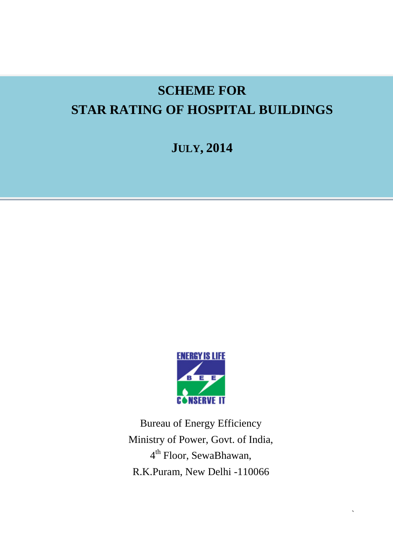# **SCHEME FOR STAR RATING OF HOSPITAL BUILDINGS**

## **JULY, 2014**



Bureau of Energy Efficiency Ministry of Power, Govt. of India, 4<sup>th</sup> Floor, SewaBhawan, R.K.Puram, New Delhi -110066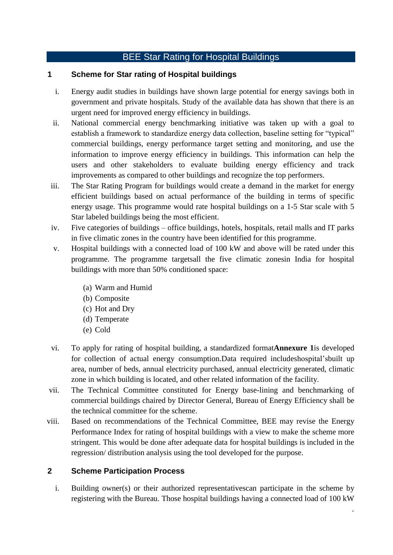## BEE Star Rating for Hospital Buildings

## **1 Scheme for Star rating of Hospital buildings**

- i. Energy audit studies in buildings have shown large potential for energy savings both in government and private hospitals. Study of the available data has shown that there is an urgent need for improved energy efficiency in buildings.
- ii. National commercial energy benchmarking initiative was taken up with a goal to establish a framework to standardize energy data collection, baseline setting for "typical" commercial buildings, energy performance target setting and monitoring, and use the information to improve energy efficiency in buildings. This information can help the users and other stakeholders to evaluate building energy efficiency and track improvements as compared to other buildings and recognize the top performers.
- iii. The Star Rating Program for buildings would create a demand in the market for energy efficient buildings based on actual performance of the building in terms of specific energy usage. This programme would rate hospital buildings on a 1-5 Star scale with 5 Star labeled buildings being the most efficient.
- iv. Five categories of buildings office buildings, hotels, hospitals, retail malls and IT parks in five climatic zones in the country have been identified for this programme.
- v. Hospital buildings with a connected load of 100 kW and above will be rated under this programme. The programme targetsall the five climatic zonesin India for hospital buildings with more than 50% conditioned space:
	- (a) Warm and Humid
	- (b) Composite
	- (c) Hot and Dry
	- (d) Temperate
	- (e) Cold
- vi. To apply for rating of hospital building, a standardized format**Annexure 1**is developed for collection of actual energy consumption.Data required includeshospital'sbuilt up area, number of beds, annual electricity purchased, annual electricity generated, climatic zone in which building is located, and other related information of the facility.
- vii. The Technical Committee constituted for Energy base-lining and benchmarking of commercial buildings chaired by Director General, Bureau of Energy Efficiency shall be the technical committee for the scheme.
- viii. Based on recommendations of the Technical Committee, BEE may revise the Energy Performance Index for rating of hospital buildings with a view to make the scheme more stringent. This would be done after adequate data for hospital buildings is included in the regression/ distribution analysis using the tool developed for the purpose.

## **2 Scheme Participation Process**

i. Building owner(s) or their authorized representativescan participate in the scheme by registering with the Bureau. Those hospital buildings having a connected load of 100 kW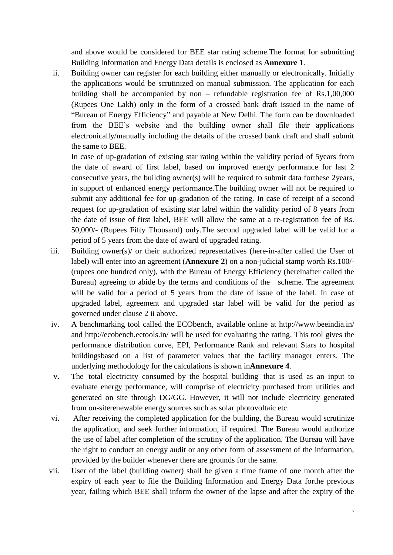and above would be considered for BEE star rating scheme.The format for submitting Building Information and Energy Data details is enclosed as **Annexure 1**.

ii. Building owner can register for each building either manually or electronically. Initially the applications would be scrutinized on manual submission. The application for each building shall be accompanied by non – refundable registration fee of Rs.1,00,000 (Rupees One Lakh) only in the form of a crossed bank draft issued in the name of "Bureau of Energy Efficiency" and payable at New Delhi. The form can be downloaded from the BEE's website and the building owner shall file their applications electronically/manually including the details of the crossed bank draft and shall submit the same to BEE.

In case of up-gradation of existing star rating within the validity period of 5years from the date of award of first label, based on improved energy performance for last 2 consecutive years, the building owner(s) will be required to submit data forthese 2years, in support of enhanced energy performance.The building owner will not be required to submit any additional fee for up-gradation of the rating. In case of receipt of a second request for up-gradation of existing star label within the validity period of 8 years from the date of issue of first label, BEE will allow the same at a re-registration fee of Rs. 50,000/- (Rupees Fifty Thousand) only.The second upgraded label will be valid for a period of 5 years from the date of award of upgraded rating.

- iii. Building owner(s)/ or their authorized representatives (here-in-after called the User of label) will enter into an agreement (**Annexure 2**) on a non-judicial stamp worth Rs.100/- (rupees one hundred only), with the Bureau of Energy Efficiency (hereinafter called the Bureau) agreeing to abide by the terms and conditions of the scheme. The agreement will be valid for a period of 5 years from the date of issue of the label. In case of upgraded label, agreement and upgraded star label will be valid for the period as governed under clause 2 ii above.
- iv. A benchmarking tool called the ECObench, available online at<http://www.beeindia.in/> and<http://ecobench.eetools.in/> will be used for evaluating the rating. This tool gives the performance distribution curve, EPI, Performance Rank and relevant Stars to hospital buildingsbased on a list of parameter values that the facility manager enters. The underlying methodology for the calculations is shown in**Annexure 4**.
- v. The 'total electricity consumed by the hospital building' that is used as an input to evaluate energy performance, will comprise of electricity purchased from utilities and generated on site through DG/GG. However, it will not include electricity generated from on-siterenewable energy sources such as solar photovoltaic etc.
- vi. After receiving the completed application for the building, the Bureau would scrutinize the application, and seek further information, if required. The Bureau would authorize the use of label after completion of the scrutiny of the application. The Bureau will have the right to conduct an energy audit or any other form of assessment of the information, provided by the builder whenever there are grounds for the same.
- vii. User of the label (building owner) shall be given a time frame of one month after the expiry of each year to file the Building Information and Energy Data forthe previous year, failing which BEE shall inform the owner of the lapse and after the expiry of the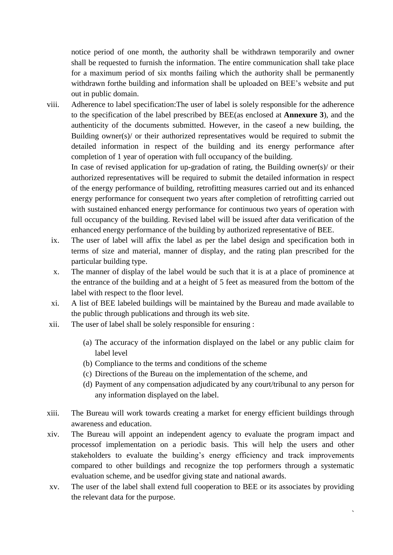notice period of one month, the authority shall be withdrawn temporarily and owner shall be requested to furnish the information. The entire communication shall take place for a maximum period of six months failing which the authority shall be permanently withdrawn forthe building and information shall be uploaded on BEE's website and put out in public domain.

viii. Adherence to label specification:The user of label is solely responsible for the adherence to the specification of the label prescribed by BEE(as enclosed at **Annexure 3**), and the authenticity of the documents submitted. However, in the caseof a new building, the Building owner(s)/ or their authorized representatives would be required to submit the detailed information in respect of the building and its energy performance after completion of 1 year of operation with full occupancy of the building.

In case of revised application for up-gradation of rating, the Building owner(s)/ or their authorized representatives will be required to submit the detailed information in respect of the energy performance of building, retrofitting measures carried out and its enhanced energy performance for consequent two years after completion of retrofitting carried out with sustained enhanced energy performance for continuous two years of operation with full occupancy of the building. Revised label will be issued after data verification of the enhanced energy performance of the building by authorized representative of BEE.

- ix. The user of label will affix the label as per the label design and specification both in terms of size and material, manner of display, and the rating plan prescribed for the particular building type.
- x. The manner of display of the label would be such that it is at a place of prominence at the entrance of the building and at a height of 5 feet as measured from the bottom of the label with respect to the floor level.
- xi. A list of BEE labeled buildings will be maintained by the Bureau and made available to the public through publications and through its web site.
- xii. The user of label shall be solely responsible for ensuring :
	- (a) The accuracy of the information displayed on the label or any public claim for label level
	- (b) Compliance to the terms and conditions of the scheme
	- (c) Directions of the Bureau on the implementation of the scheme, and
	- (d) Payment of any compensation adjudicated by any court/tribunal to any person for any information displayed on the label.
- xiii. The Bureau will work towards creating a market for energy efficient buildings through awareness and education.
- xiv. The Bureau will appoint an independent agency to evaluate the program impact and processof implementation on a periodic basis. This will help the users and other stakeholders to evaluate the building's energy efficiency and track improvements compared to other buildings and recognize the top performers through a systematic evaluation scheme, and be usedfor giving state and national awards.
- xv. The user of the label shall extend full cooperation to BEE or its associates by providing the relevant data for the purpose.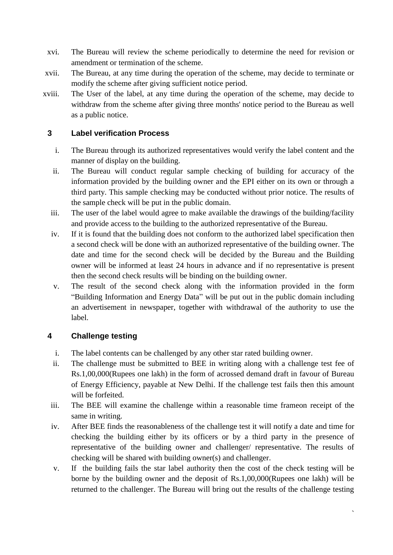- xvi. The Bureau will review the scheme periodically to determine the need for revision or amendment or termination of the scheme.
- xvii. The Bureau, at any time during the operation of the scheme, may decide to terminate or modify the scheme after giving sufficient notice period.
- xviii. The User of the label, at any time during the operation of the scheme, may decide to withdraw from the scheme after giving three months' notice period to the Bureau as well as a public notice.

## **3 Label verification Process**

- i. The Bureau through its authorized representatives would verify the label content and the manner of display on the building.
- ii. The Bureau will conduct regular sample checking of building for accuracy of the information provided by the building owner and the EPI either on its own or through a third party. This sample checking may be conducted without prior notice. The results of the sample check will be put in the public domain.
- iii. The user of the label would agree to make available the drawings of the building/facility and provide access to the building to the authorized representative of the Bureau.
- iv. If it is found that the building does not conform to the authorized label specification then a second check will be done with an authorized representative of the building owner. The date and time for the second check will be decided by the Bureau and the Building owner will be informed at least 24 hours in advance and if no representative is present then the second check results will be binding on the building owner.
- v. The result of the second check along with the information provided in the form "Building Information and Energy Data" will be put out in the public domain including an advertisement in newspaper, together with withdrawal of the authority to use the label.

## **4 Challenge testing**

- i. The label contents can be challenged by any other star rated building owner.
- ii. The challenge must be submitted to BEE in writing along with a challenge test fee of Rs.1,00,000(Rupees one lakh) in the form of acrossed demand draft in favour of Bureau of Energy Efficiency, payable at New Delhi. If the challenge test fails then this amount will be forfeited.
- iii. The BEE will examine the challenge within a reasonable time frameon receipt of the same in writing.
- iv. After BEE finds the reasonableness of the challenge test it will notify a date and time for checking the building either by its officers or by a third party in the presence of representative of the building owner and challenger/ representative. The results of checking will be shared with building owner(s) and challenger.
- v. If the building fails the star label authority then the cost of the check testing will be borne by the building owner and the deposit of Rs.1,00,000(Rupees one lakh) will be returned to the challenger. The Bureau will bring out the results of the challenge testing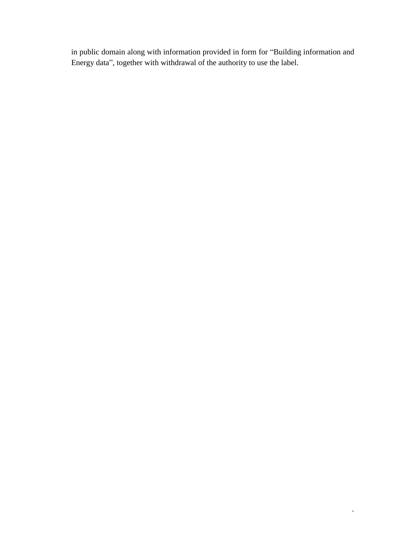in public domain along with information provided in form for "Building information and Energy data", together with withdrawal of the authority to use the label.

 $\hat{\mathbf{v}}$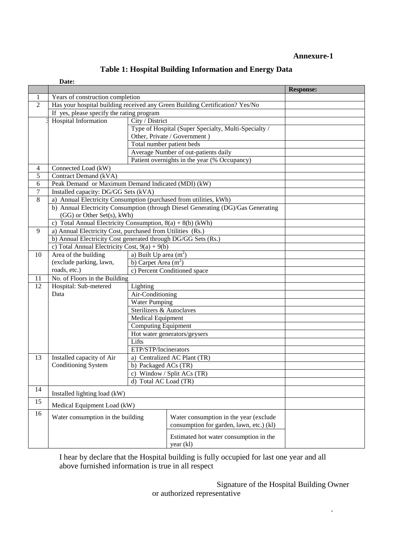#### **Annexure-1**

|                |                                                                   |                                                      |                                                                                  | <b>Response:</b> |
|----------------|-------------------------------------------------------------------|------------------------------------------------------|----------------------------------------------------------------------------------|------------------|
| 1              | Years of construction completion                                  |                                                      |                                                                                  |                  |
| $\overline{2}$ |                                                                   |                                                      | Has your hospital building received any Green Building Certification? Yes/No     |                  |
|                | If yes, please specify the rating program                         |                                                      |                                                                                  |                  |
|                | <b>Hospital Information</b>                                       | City / District                                      |                                                                                  |                  |
|                |                                                                   | Type of Hospital (Super Specialty, Multi-Specialty / |                                                                                  |                  |
|                |                                                                   | Other, Private / Government)                         |                                                                                  |                  |
|                |                                                                   | Total number patient beds                            |                                                                                  |                  |
|                |                                                                   | Average Number of out-patients daily                 |                                                                                  |                  |
|                |                                                                   | Patient overnights in the year (% Occupancy)         |                                                                                  |                  |
| $\overline{4}$ | Connected Load (kW)                                               |                                                      |                                                                                  |                  |
| 5              | Contract Demand (kVA)                                             |                                                      |                                                                                  |                  |
| 6              | Peak Demand or Maximum Demand Indicated (MDI) (kW)                |                                                      |                                                                                  |                  |
| $\tau$         | Installed capacity: DG/GG Sets (kVA)                              |                                                      |                                                                                  |                  |
| 8              | a) Annual Electricity Consumption (purchased from utilities, kWh) |                                                      |                                                                                  |                  |
|                |                                                                   |                                                      | b) Annual Electricity Consumption (through Diesel Generating (DG)/Gas Generating |                  |
|                | (GG) or Other Set(s), kWh)                                        |                                                      |                                                                                  |                  |
|                | c) Total Annual Electricity Consumption, $8(a) + 8(b)$ (kWh)      |                                                      |                                                                                  |                  |
| 9              | a) Annual Electricity Cost, purchased from Utilities (Rs.)        |                                                      |                                                                                  |                  |
|                | b) Annual Electricity Cost generated through DG/GG Sets (Rs.)     |                                                      |                                                                                  |                  |
|                | c) Total Annual Electricity Cost, $9(a) + 9(b)$                   |                                                      |                                                                                  |                  |
| 10             | Area of the building                                              | a) Built Up area $(m2)$                              |                                                                                  |                  |
|                | (exclude parking, lawn,                                           | b) Carpet Area $(m2)$                                |                                                                                  |                  |
|                | roads, etc.)                                                      | c) Percent Conditioned space                         |                                                                                  |                  |
| 11             | No. of Floors in the Building                                     |                                                      |                                                                                  |                  |
| 12             | Hospital: Sub-metered                                             | Lighting                                             |                                                                                  |                  |
|                | Data                                                              | Air-Conditioning                                     |                                                                                  |                  |
|                |                                                                   | <b>Water Pumping</b>                                 |                                                                                  |                  |
|                |                                                                   | Sterilizers & Autoclaves                             |                                                                                  |                  |
|                |                                                                   | <b>Medical Equipment</b>                             |                                                                                  |                  |
|                |                                                                   | <b>Computing Equipment</b>                           |                                                                                  |                  |
|                |                                                                   | Hot water generators/geysers                         |                                                                                  |                  |
|                |                                                                   | Lifts                                                |                                                                                  |                  |
|                |                                                                   | ETP/STP/Incinerators                                 |                                                                                  |                  |
| 13             | Installed capacity of Air                                         |                                                      | a) Centralized AC Plant (TR)                                                     |                  |
|                | Conditioning System                                               | b) Packaged ACs (TR)                                 |                                                                                  |                  |
|                |                                                                   |                                                      | c) Window / Split ACs (TR)                                                       |                  |
|                |                                                                   | d) Total AC Load (TR)                                |                                                                                  |                  |
| 14             | Installed lighting load (kW)                                      |                                                      |                                                                                  |                  |
| 15             |                                                                   |                                                      |                                                                                  |                  |
|                | Medical Equipment Load (kW)                                       |                                                      |                                                                                  |                  |
| 16             | Water consumption in the building                                 |                                                      | Water consumption in the year (exclude                                           |                  |
|                |                                                                   |                                                      | consumption for garden, lawn, etc.) (kl)                                         |                  |
|                |                                                                   |                                                      | Estimated hot water consumption in the                                           |                  |
|                |                                                                   |                                                      | year (kl)                                                                        |                  |

## **Table 1: Hospital Building Information and Energy Data**

I hear by declare that the Hospital building is fully occupied for last one year and all above furnished information is true in all respect

> Signature of the Hospital Building Owner or authorized representative

> > $\bar{\mathcal{S}}$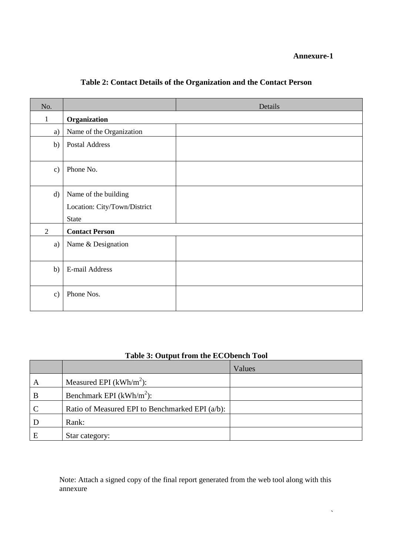**Annexure-1**

 $\ddot{\phantom{0}}$ 

| Table 2: Contact Details of the Organization and the Contact Person |
|---------------------------------------------------------------------|
|---------------------------------------------------------------------|

| No.            |                                                                      | Details |
|----------------|----------------------------------------------------------------------|---------|
| $\mathbf{1}$   | Organization                                                         |         |
| a)             | Name of the Organization                                             |         |
| b)             | <b>Postal Address</b>                                                |         |
| c)             | Phone No.                                                            |         |
| $\mathbf{d}$   | Name of the building<br>Location: City/Town/District<br><b>State</b> |         |
| $\overline{2}$ | <b>Contact Person</b>                                                |         |
| a)             | Name & Designation                                                   |         |
| b)             | E-mail Address                                                       |         |
| $\mathbf{c})$  | Phone Nos.                                                           |         |

## **Table 3: Output from the ECObench Tool**

|   |                                                 | Values |
|---|-------------------------------------------------|--------|
| A | Measured EPI ( $kWh/m^2$ ):                     |        |
| B | Benchmark EPI $(kWh/m^2)$ :                     |        |
|   | Ratio of Measured EPI to Benchmarked EPI (a/b): |        |
|   | Rank:                                           |        |
|   | Star category:                                  |        |

Note: Attach a signed copy of the final report generated from the web tool along with this annexure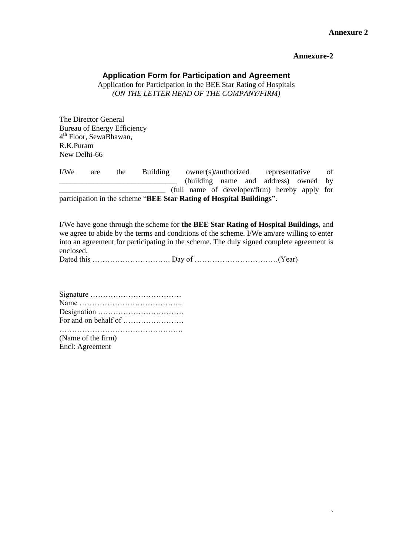#### **Annexure 2**

#### **Annexure-2**

`

#### **Application Form for Participation and Agreement**

Application for Participation in the BEE Star Rating of Hospitals *(ON THE LETTER HEAD OF THE COMPANY/FIRM)* 

The Director General Bureau of Energy Efficiency 4 th Floor, SewaBhawan, R.K.Puram New Delhi-66

I/We are the Building owner(s)/authorized representative of \_\_\_\_\_\_\_\_\_\_\_\_\_\_\_\_\_\_\_\_\_\_\_\_\_\_\_\_\_\_\_ (building name and address) owned by \_\_\_\_\_\_\_\_\_\_\_\_\_\_\_\_\_\_\_\_\_\_\_\_\_\_\_\_ (full name of developer/firm) hereby apply for participation in the scheme "**BEE Star Rating of Hospital Buildings"**.

I/We have gone through the scheme for **the BEE Star Rating of Hospital Buildings**, and we agree to abide by the terms and conditions of the scheme. I/We am/are willing to enter into an agreement for participating in the scheme. The duly signed complete agreement is enclosed.

Dated this …………………………. Day of ……………………………(Year)

| (Name of the firm) |
|--------------------|
| Encl: Agreement    |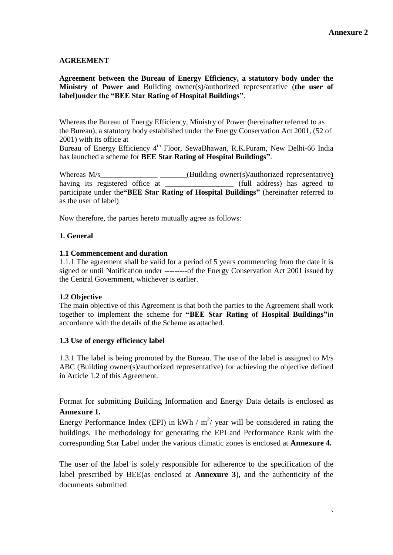#### **AGREEMENT**

#### **Agreement between the Bureau of Energy Efficiency, a statutory body under the Ministry of Power and** Building owner(s)/authorized representative (**the user of label)under the "BEE Star Rating of Hospital Buildings"**.

Whereas the Bureau of Energy Efficiency, Ministry of Power (hereinafter referred to as the Bureau), a statutory body established under the Energy Conservation Act 2001, (52 of 2001) with its office at

Bureau of Energy Efficiency 4<sup>th</sup> Floor, SewaBhawan, R.K.Puram, New Delhi-66 India has launched a scheme for **BEE Star Rating of Hospital Buildings"**.

Whereas M/s\_\_\_\_\_\_\_\_\_\_\_\_\_\_\_\_\_\_\_\_\_\_\_\_\_\_(Building owner(s)/authorized representative) having its registered office at \_\_\_\_\_\_\_\_\_\_\_\_\_\_\_\_\_\_\_\_\_ (full address) has agreed to participate under the**"BEE Star Rating of Hospital Buildings"** (hereinafter referred to as the user of label)

Now therefore, the parties hereto mutually agree as follows:

#### **1. General**

#### **1.1 Commencement and duration**

1.1.1 The agreement shall be valid for a period of 5 years commencing from the date it is signed or until Notification under ---------of the Energy Conservation Act 2001 issued by the Central Government, whichever is earlier.

#### **1.2 Objective**

The main objective of this Agreement is that both the parties to the Agreement shall work together to implement the scheme for **"BEE Star Rating of Hospital Buildings"**in accordance with the details of the Scheme as attached.

#### **1.3 Use of energy efficiency label**

1.3.1 The label is being promoted by the Bureau. The use of the label is assigned to M/s ABC (Building owner(s)/authorized representative) for achieving the objective defined in Article 1.2 of this Agreement.

Format for submitting Building Information and Energy Data details is enclosed as **Annexure 1.**

Energy Performance Index (EPI) in kWh  $/m^2$  year will be considered in rating the buildings. The methodology for generating the EPI and Performance Rank with the corresponding Star Label under the various climatic zones is enclosed at **Annexure 4.**

The user of the label is solely responsible for adherence to the specification of the label prescribed by BEE(as enclosed at **Annexure 3**), and the authenticity of the documents submitted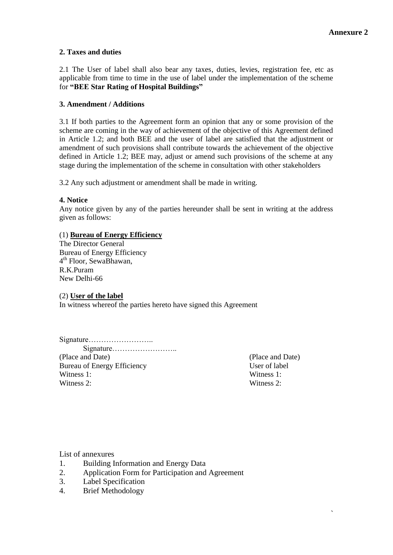#### **2. Taxes and duties**

2.1 The User of label shall also bear any taxes, duties, levies, registration fee, etc as applicable from time to time in the use of label under the implementation of the scheme for **"BEE Star Rating of Hospital Buildings"**

#### **3. Amendment / Additions**

3.1 If both parties to the Agreement form an opinion that any or some provision of the scheme are coming in the way of achievement of the objective of this Agreement defined in Article 1.2; and both BEE and the user of label are satisfied that the adjustment or amendment of such provisions shall contribute towards the achievement of the objective defined in Article 1.2; BEE may, adjust or amend such provisions of the scheme at any stage during the implementation of the scheme in consultation with other stakeholders

3.2 Any such adjustment or amendment shall be made in writing.

#### **4. Notice**

Any notice given by any of the parties hereunder shall be sent in writing at the address given as follows:

#### (1) **Bureau of Energy Efficiency**

The Director General Bureau of Energy Efficiency 4 th Floor, SewaBhawan, R.K.Puram New Delhi-66

#### (2) **User of the label**

In witness whereof the parties hereto have signed this Agreement

Signature…………………….. (Place and Date) (Place and Date) Bureau of Energy Efficiency User of label Witness 1: Witness 1: Witness 2: Witness 2:

`

List of annexures

- 1. Building Information and Energy Data
- 2. Application Form for Participation and Agreement
- 3. Label Specification
- 4. Brief Methodology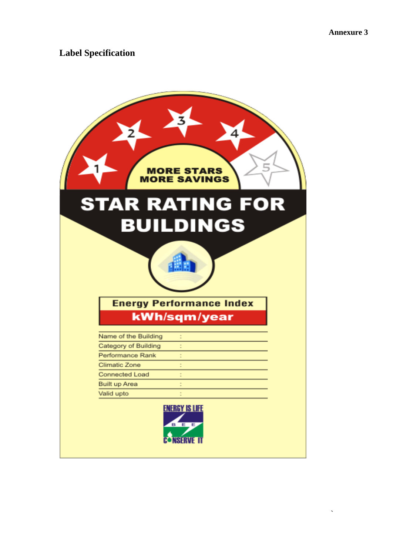`

## **Label Specification**